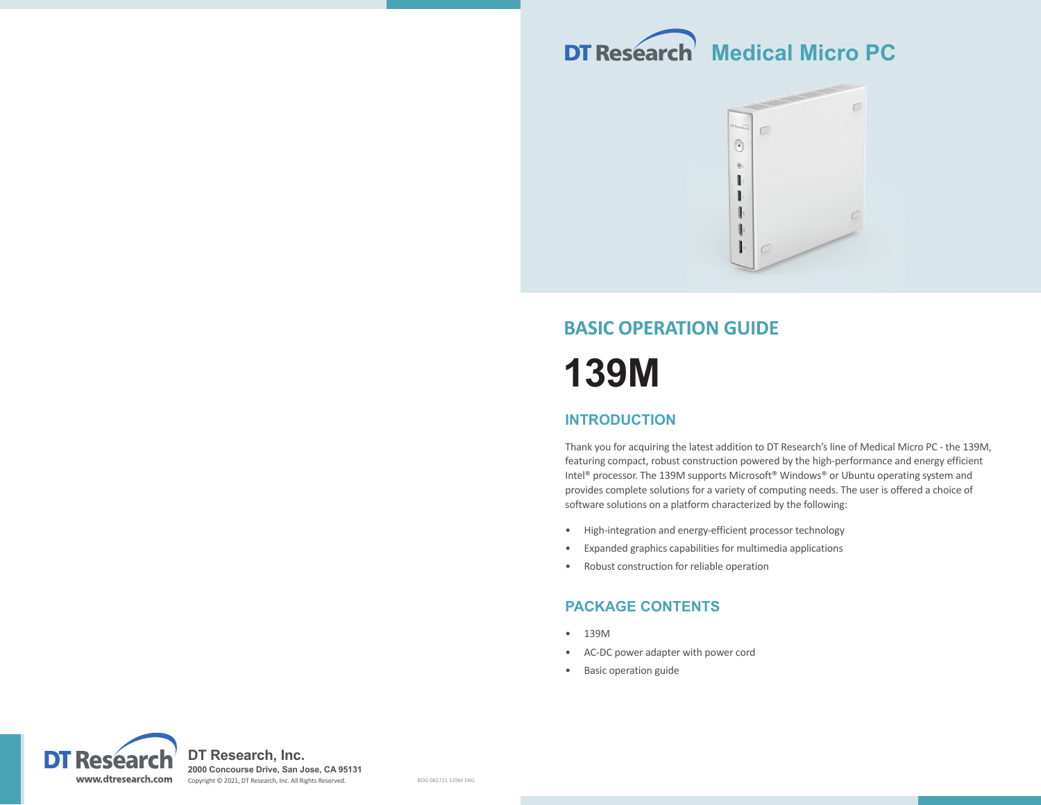



# **BASIC OPERATION GUIDE 139M**

### **INTRODUCTION**

Thank you for acquiring the latest addition to DT Research's line of Medical Micro PC - the 139M, featuring compact, robust construction powered by the high-performance and energy efficient Intel® processor. The 139M supports Microsoft® Windows® or Ubuntu operating system and provides complete solutions for a variety of computing needs. The user is offered a choice of software solutions on a platform characterized by the following:

- High-integration and energy-efficient processor technology
- Expanded graphics capabilities for multimedia applications
- Robust construction for reliable operation

## **PACKAGE CONTENTS**

- 139M
- AC-DC power adapter with power cord
- Basic operation guide